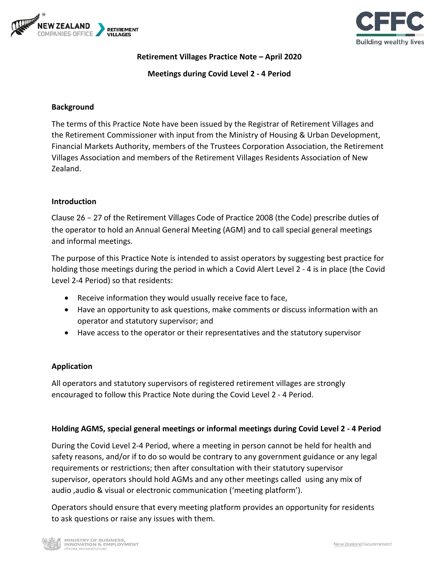



**Retirement Villages Practice Note – April 2020**

**Meetings during Covid Level 2 - 4 Period**

### **Background**

The terms of this Practice Note have been issued by the Registrar of Retirement Villages and the Retirement Commissioner with input from the Ministry of Housing & Urban Development, Financial Markets Authority, members of the Trustees Corporation Association, the Retirement Villages Association and members of the Retirement Villages Residents Association of New Zealand.

### **Introduction**

the operator to hold an Annual General Meeting (AGM) and to call special general meetings and informal meetings. Clause 26 – 27 of the Retirement Villages Code of Practice 2008 (the Code) prescribe duties of

The purpose of this Practice Note is intended to assist operators by suggesting best practice for holding those meetings during the period in which a Covid Alert Level 2 - 4 is in place (the Covid Level 2-4 Period) so that residents:

- Receive information they would usually receive face to face,
- Have an opportunity to ask questions, make comments or discuss information with an operator and statutory supervisor; and
- Have access to the operator or their representatives and the statutory supervisor

### **Application**

All operators and statutory supervisors of registered retirement villages are strongly encouraged to follow this Practice Note during the Covid Level 2 - 4 Period.

### **Holding AGMS, special general meetings or informal meetings during Covid Level 2 - 4 Period**

During the Covid Level 2-4 Period, where a meeting in person cannot be held for health and safety reasons, and/or if to do so would be contrary to any government guidance or any legal requirements or restrictions; then after consultation with their statutory supervisor supervisor, operators should hold AGMs and any other meetings called using any mix of audio ,audio & visual or electronic communication ('meeting platform').

Operators should ensure that every meeting platform provides an opportunity for residents to ask questions or raise any issues with them.